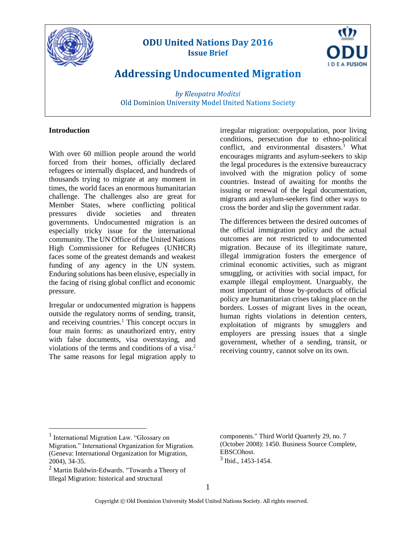



# **Addressing Undocumented Migration**

by Kleopatra Moditsi Old Dominion University Model United Nations Society

## **Introduction**

With over 60 million people around the world forced from their homes, officially declared refugees or internally displaced, and hundreds of thousands trying to migrate at any moment in times, the world faces an enormous humanitarian challenge. The challenges also are great for Member States, where conflicting political pressures divide societies and threaten governments. Undocumented migration is an especially tricky issue for the international community. The UN Office of the United Nations High Commissioner for Refugees (UNHCR) faces some of the greatest demands and weakest funding of any agency in the UN system. Enduring solutions has been elusive, especially in the facing of rising global conflict and economic pressure.

Irregular or undocumented migration is happens outside the regulatory norms of sending, transit, and receiving countries.<sup>1</sup> This concept occurs in four main forms: as unauthorized entry, entry with false documents, visa overstaying, and violations of the terms and conditions of a visa.<sup>2</sup> The same reasons for legal migration apply to

irregular migration: overpopulation, poor living conditions, persecution due to ethno-political conflict, and environmental disasters. $3$  What encourages migrants and asylum-seekers to skip the legal procedures is the extensive bureaucracy involved with the migration policy of some countries. Instead of awaiting for months the issuing or renewal of the legal documentation, migrants and asylum-seekers find other ways to cross the border and slip the government radar.

The differences between the desired outcomes of the official immigration policy and the actual outcomes are not restricted to undocumented migration. Because of its illegitimate nature, illegal immigration fosters the emergence of criminal economic activities, such as migrant smuggling, or activities with social impact, for example illegal employment. Unarguably, the most important of those by-products of official policy are humanitarian crises taking place on the borders. Losses of migrant lives in the ocean, human rights violations in detention centers, exploitation of migrants by smugglers and employers are pressing issues that a single government, whether of a sending, transit, or receiving country, cannot solve on its own.

<sup>&</sup>lt;sup>1</sup> International Migration Law. "Glossary on Migration." International Organization for Migration. (Geneva: International Organization for Migration, 2004), 34-35.

<sup>2</sup> Martin Baldwin-Edwards. "Towards a Theory of Illegal Migration: historical and structural

components." Third World Quarterly 29, no. 7 (October 2008): 1450. Business Source Complete, EBSCOhost. <sup>3</sup> Ibid., 1453-1454.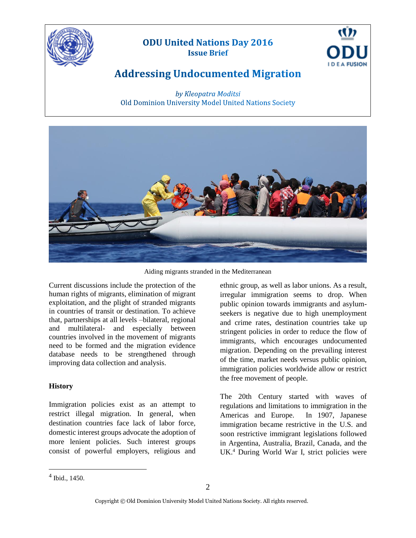



# **Addressing Undocumented Migration**

by Kleopatra Moditsi Old Dominion University Model United Nations Society



Aiding migrants stranded in the Mediterranean

Current discussions include the protection of the human rights of migrants, elimination of migrant exploitation, and the plight of stranded migrants in countries of transit or destination. To achieve that, partnerships at all levels –bilateral, regional and multilateral- and especially between countries involved in the movement of migrants need to be formed and the migration evidence database needs to be strengthened through improving data collection and analysis.

## **History**

Immigration policies exist as an attempt to restrict illegal migration. In general, when destination countries face lack of labor force, domestic interest groups advocate the adoption of more lenient policies. Such interest groups consist of powerful employers, religious and

ethnic group, as well as labor unions. As a result, irregular immigration seems to drop. When public opinion towards immigrants and asylumseekers is negative due to high unemployment and crime rates, destination countries take up stringent policies in order to reduce the flow of immigrants, which encourages undocumented migration. Depending on the prevailing interest of the time, market needs versus public opinion, immigration policies worldwide allow or restrict the free movement of people.

The 20th Century started with waves of regulations and limitations to immigration in the Americas and Europe. In 1907, Japanese immigration became restrictive in the U.S. and soon restrictive immigrant legislations followed in Argentina, Australia, Brazil, Canada, and the UK.<sup>4</sup> During World War I, strict policies were

<sup>4</sup> Ibid., 1450.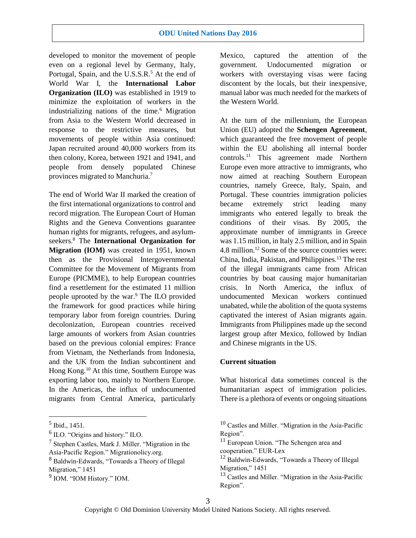developed to monitor the movement of people even on a regional level by Germany, Italy, Portugal, Spain, and the U.S.S.R.<sup>5</sup> At the end of World War I, the **International Labor Organization (ILO)** was established in 1919 to minimize the exploitation of workers in the industrializing nations of the time.<sup>6</sup> Migration from Asia to the Western World decreased in response to the restrictive measures, but movements of people within Asia continued: Japan recruited around 40,000 workers from its then colony, Korea, between 1921 and 1941, and people from densely populated Chinese provinces migrated to Manchuria.<sup>7</sup>

The end of World War II marked the creation of the first international organizations to control and record migration. The European Court of Human Rights and the Geneva Conventions guarantee human rights for migrants, refugees, and asylumseekers.<sup>8</sup> The **International Organization for Migration (IOM)** was created in 1951, known then as the Provisional Intergovernmental Committee for the Movement of Migrants from Europe (PICMME), to help European countries find a resettlement for the estimated 11 million people uprooted by the war.<sup>9</sup> The ILO provided the framework for good practices while hiring temporary labor from foreign countries. During decolonization, European countries received large amounts of workers from Asian countries based on the previous colonial empires: France from Vietnam, the Netherlands from Indonesia, and the UK from the Indian subcontinent and Hong Kong.<sup>10</sup> At this time, Southern Europe was exporting labor too, mainly to Northern Europe. In the Americas, the influx of undocumented migrants from Central America, particularly

 $\overline{a}$ 

Mexico, captured the attention of the government. Undocumented migration or workers with overstaying visas were facing discontent by the locals, but their inexpensive, manual labor was much needed for the markets of the Western World.

At the turn of the millennium, the European Union (EU) adopted the **Schengen Agreement**, which guaranteed the free movement of people within the EU abolishing all internal border controls.<sup>11</sup> This agreement made Northern Europe even more attractive to immigrants, who now aimed at reaching Southern European countries, namely Greece, Italy, Spain, and Portugal. These countries immigration policies became extremely strict leading many immigrants who entered legally to break the conditions of their visas. By 2005, the approximate number of immigrants in Greece was 1.15 million, in Italy 2.5 million, and in Spain 4.8 million.<sup>12</sup> Some of the source countries were: China, India, Pakistan, and Philippines.<sup>13</sup> The rest of the illegal immigrants came from African countries by boat causing major humanitarian crisis. In North America, the influx of undocumented Mexican workers continued unabated, while the abolition of the quota systems captivated the interest of Asian migrants again. Immigrants from Philippines made up the second largest group after Mexico, followed by Indian and Chinese migrants in the US.

#### **Current situation**

What historical data sometimes conceal is the humanitarian aspect of immigration policies. There is a plethora of events or ongoing situations

<sup>5</sup> Ibid., 1451.

<sup>&</sup>lt;sup>6</sup> ILO. "Origins and history." ILO.

<sup>7</sup> Stephen Castles, Mark J. Miller. "Migration in the Asia-Pacific Region." Migrationolicy.org.

<sup>8</sup> Baldwin-Edwards, "Towards a Theory of Illegal Migration," 1451

<sup>&</sup>lt;sup>9</sup> IOM. "IOM History." IOM.

<sup>10</sup> Castles and Miller. "Migration in the Asia-Pacific Region".

<sup>11</sup> European Union. "The Schengen area and cooperation." EUR-Lex

<sup>&</sup>lt;sup>12</sup> Baldwin-Edwards, "Towards a Theory of Illegal Migration," 1451

<sup>&</sup>lt;sup>13</sup> Castles and Miller. "Migration in the Asia-Pacific Region".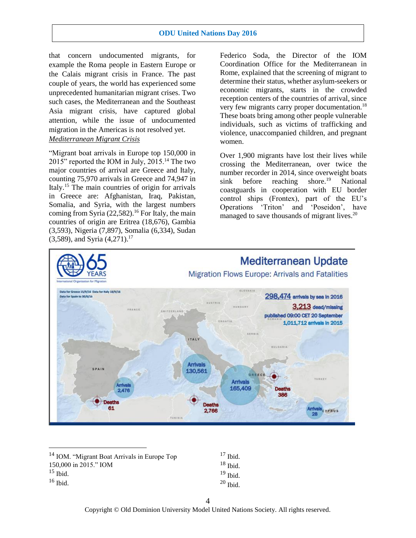that concern undocumented migrants, for example the Roma people in Eastern Europe or the Calais migrant crisis in France. The past couple of years, the world has experienced some unprecedented humanitarian migrant crises. Two such cases, the Mediterranean and the Southeast Asia migrant crisis, have captured global attention, while the issue of undocumented migration in the Americas is not resolved yet. *Mediterranean Migrant Crisis*

"Migrant boat arrivals in Europe top 150,000 in 2015" reported the IOM in July, 2015.<sup>14</sup> The two major countries of arrival are Greece and Italy, counting 75,970 arrivals in Greece and 74,947 in Italy.<sup>15</sup> The main countries of origin for arrivals in Greece are: Afghanistan, Iraq, Pakistan, Somalia, and Syria, with the largest numbers coming from Syria  $(22.582)$ .<sup>16</sup> For Italy, the main countries of origin are Eritrea (18,676), Gambia (3,593), Nigeria (7,897), Somalia (6,334), Sudan  $(3,589)$ , and Syria  $(4,271)$ .<sup>17</sup>

Federico Soda, the Director of the IOM Coordination Office for the Mediterranean in Rome, explained that the screening of migrant to determine their status, whether asylum-seekers or economic migrants, starts in the crowded reception centers of the countries of arrival, since very few migrants carry proper documentation.<sup>18</sup> These boats bring among other people vulnerable individuals, such as victims of trafficking and violence, unaccompanied children, and pregnant women.

Over 1,900 migrants have lost their lives while crossing the Mediterranean, over twice the number recorder in 2014, since overweight boats sink before reaching shore.<sup>19</sup> National coastguards in cooperation with EU border control ships (Frontex), part of the EU's Operations 'Triton' and 'Poseidon', have managed to save thousands of migrant lives.<sup>20</sup>



| <sup>14</sup> IOM. "Migrant Boat Arrivals in Europe Top | $17$ Ibid. |
|---------------------------------------------------------|------------|
| 150,000 in 2015." IOM                                   | $18$ Ibid. |
| $15$ Ibid.                                              | $19$ Ibid. |
| $16$ Ibid.                                              | $20$ Ibid. |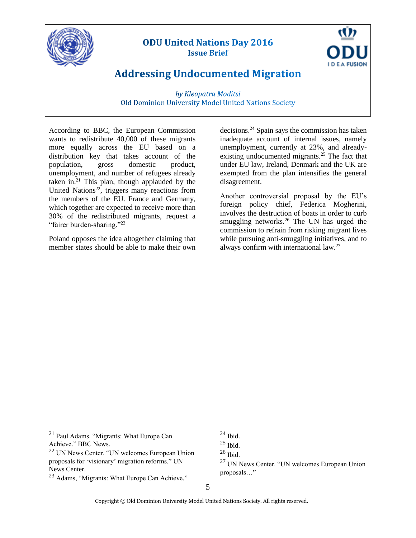



# **Addressing Undocumented Migration**

by Kleopatra Moditsi Old Dominion University Model United Nations Society

According to BBC, the European Commission wants to redistribute 40,000 of these migrants more equally across the EU based on a distribution key that takes account of the population, gross domestic product, unemployment, and number of refugees already taken in.<sup>21</sup> This plan, though applauded by the United Nations<sup>22</sup>, triggers many reactions from the members of the EU. France and Germany, which together are expected to receive more than 30% of the redistributed migrants, request a "fairer burden-sharing."<sup>23</sup>

Poland opposes the idea altogether claiming that member states should be able to make their own decisions.<sup>24</sup> Spain says the commission has taken inadequate account of internal issues, namely unemployment, currently at 23%, and alreadyexisting undocumented migrants.<sup>25</sup> The fact that under EU law, Ireland, Denmark and the UK are exempted from the plan intensifies the general disagreement.

Another controversial proposal by the EU's foreign policy chief, Federica Mogherini, involves the destruction of boats in order to curb smuggling networks. $26$  The UN has urged the commission to refrain from risking migrant lives while pursuing anti-smuggling initiatives, and to always confirm with international law.<sup>27</sup>

 $\overline{a}$ 

 $24$  Ibid.

<sup>&</sup>lt;sup>21</sup> Paul Adams. "Migrants: What Europe Can Achieve." BBC News.

<sup>22</sup> UN News Center. "UN welcomes European Union proposals for 'visionary' migration reforms." UN News Center.

<sup>23</sup> Adams, "Migrants: What Europe Can Achieve."

 $25$  Ibid.

 $26$  Ibid.

<sup>27</sup> UN News Center. "UN welcomes European Union proposals…"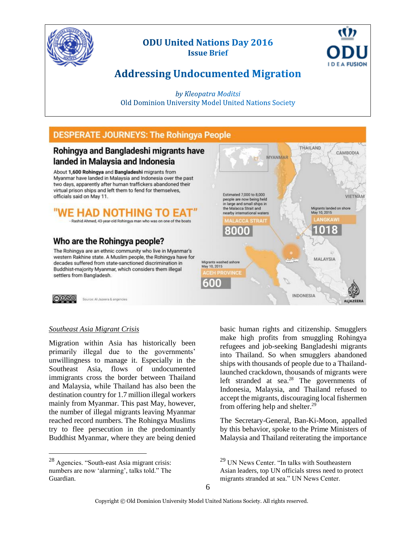



# **Addressing Undocumented Migration**

by Kleopatra Moditsi Old Dominion University Model United Nations Society

# **DESPERATE JOURNEYS: The Rohingya People**

# Rohingya and Bangladeshi migrants have landed in Malaysia and Indonesia

About 1,600 Rohingya and Bangladeshi migrants from Myanmar have landed in Malaysia and Indonesia over the past two days, apparently after human traffickers abandoned their virtual prison ships and left them to fend for themselves, officials said on May 11.

# "WE HAD NOTHING T Rashid Ahmed, 43-year-old Rohingya man who was on one of the boats

# Who are the Rohingya people?

The Rohingya are an ethnic community who live in Myanmar's western Rakhine state. A Muslim people, the Rohingya have for decades suffered from state-sanctioned discrimination in Buddhist-majority Myanmar, which considers them illegal settlers from Bangladesh.

 $\bigcirc$ 

 $\overline{a}$ 

Source: Al Jazeera & angencies



## *Southeast Asia Migrant Crisis*

Migration within Asia has historically been primarily illegal due to the governments' unwillingness to manage it. Especially in the Southeast Asia, flows of undocumented immigrants cross the border between Thailand and Malaysia, while Thailand has also been the destination country for 1.7 million illegal workers mainly from Myanmar. This past May, however, the number of illegal migrants leaving Myanmar reached record numbers. The Rohingya Muslims try to flee persecution in the predominantly Buddhist Myanmar, where they are being denied

basic human rights and citizenship. Smugglers make high profits from smuggling Rohingya refugees and job-seeking Bangladeshi migrants into Thailand. So when smugglers abandoned ships with thousands of people due to a Thailandlaunched crackdown, thousands of migrants were left stranded at sea. $28$  The governments of Indonesia, Malaysia, and Thailand refused to accept the migrants, discouraging local fishermen from offering help and shelter.<sup>29</sup>

The Secretary-General, Ban-Ki-Moon, appalled by this behavior, spoke to the Prime Ministers of Malaysia and Thailand reiterating the importance

<sup>28</sup> Agencies. "South-east Asia migrant crisis: numbers are now 'alarming', talks told." The Guardian.

 $29$  UN News Center. "In talks with Southeastern Asian leaders, top UN officials stress need to protect migrants stranded at sea." UN News Center.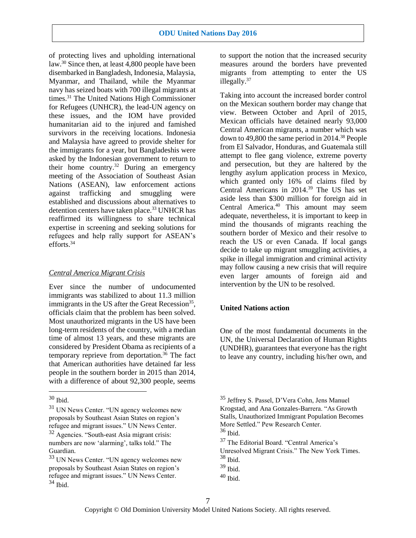of protecting lives and upholding international law.<sup>30</sup> Since then, at least  $\overline{4,800}$  people have been disembarked in Bangladesh, Indonesia, Malaysia, Myanmar, and Thailand, while the Myanmar navy has seized boats with 700 illegal migrants at times.<sup>31</sup> The United Nations High Commissioner for Refugees (UNHCR), the lead-UN agency on these issues, and the IOM have provided humanitarian aid to the injured and famished survivors in the receiving locations. Indonesia and Malaysia have agreed to provide shelter for the immigrants for a year, but Bangladeshis were asked by the Indonesian government to return to their home country.<sup>32</sup> During an emergency meeting of the Association of Southeast Asian Nations (ASEAN), law enforcement actions against trafficking and smuggling were established and discussions about alternatives to detention centers have taken place.<sup>33</sup> UNHCR has reaffirmed its willingness to share technical expertise in screening and seeking solutions for refugees and help rally support for ASEAN's efforts.<sup>34</sup>

## *Central America Migrant Crisis*

Ever since the number of undocumented immigrants was stabilized to about 11.3 million immigrants in the US after the Great Recession<sup>35</sup>, officials claim that the problem has been solved. Most unauthorized migrants in the US have been long-term residents of the country, with a median time of almost 13 years, and these migrants are considered by President Obama as recipients of a temporary reprieve from deportation. $36$  The fact that American authorities have detained far less people in the southern border in 2015 than 2014, with a difference of about 92,300 people, seems

 $\overline{a}$ 

to support the notion that the increased security measures around the borders have prevented migrants from attempting to enter the US illegally.<sup>37</sup>

Taking into account the increased border control on the Mexican southern border may change that view. Between October and April of 2015, Mexican officials have detained nearly 93,000 Central American migrants, a number which was down to 49,800 the same period in 2014.<sup>38</sup> People from El Salvador, Honduras, and Guatemala still attempt to flee gang violence, extreme poverty and persecution, but they are haltered by the lengthy asylum application process in Mexico, which granted only 16% of claims filed by Central Americans in 2014.<sup>39</sup> The US has set aside less than \$300 million for foreign aid in Central America.<sup>40</sup> This amount may seem adequate, nevertheless, it is important to keep in mind the thousands of migrants reaching the southern border of Mexico and their resolve to reach the US or even Canada. If local gangs decide to take up migrant smuggling activities, a spike in illegal immigration and criminal activity may follow causing a new crisis that will require even larger amounts of foreign aid and intervention by the UN to be resolved.

## **United Nations action**

One of the most fundamental documents in the UN, the Universal Declaration of Human Rights (UNDHR), guarantees that everyone has the right to leave any country, including his/her own, and

 $30$  Ibid.

<sup>&</sup>lt;sup>31</sup> UN News Center. "UN agency welcomes new proposals by Southeast Asian States on region's refugee and migrant issues." UN News Center.

<sup>32</sup> Agencies. "South-east Asia migrant crisis: numbers are now 'alarming', talks told." The Guardian.

<sup>&</sup>lt;sup>33</sup> UN News Center. "UN agency welcomes new proposals by Southeast Asian States on region's refugee and migrant issues." UN News Center.  $34$  Ibid.

<sup>35</sup> Jeffrey S. Passel, D'Vera Cohn, Jens Manuel Krogstad, and Ana Gonzales-Barrera. "As Growth Stalls, Unauthorized Immigrant Population Becomes More Settled." Pew Research Center. <sup>36</sup> Ibid.

<sup>&</sup>lt;sup>37</sup> The Editorial Board. "Central America's Unresolved Migrant Crisis." The New York Times. <sup>38</sup> Ibid.

 $39$  Ibid.

 $40$  Ibid.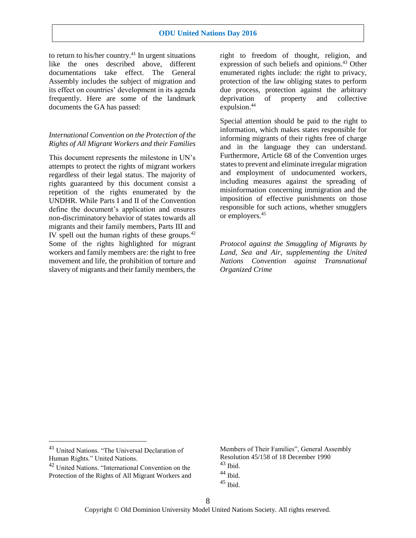to return to his/her country.<sup>41</sup> In urgent situations like the ones described above, different documentations take effect. The General Assembly includes the subject of migration and its effect on countries' development in its agenda frequently. Here are some of the landmark documents the GA has passed:

## *International Convention on the Protection of the Rights of All Migrant Workers and their Families*

This document represents the milestone in UN's attempts to protect the rights of migrant workers regardless of their legal status. The majority of rights guaranteed by this document consist a repetition of the rights enumerated by the UNDHR. While Parts I and II of the Convention define the document's application and ensures non-discriminatory behavior of states towards all migrants and their family members, Parts III and IV spell out the human rights of these groups.<sup>42</sup> Some of the rights highlighted for migrant workers and family members are: the right to free movement and life, the prohibition of torture and slavery of migrants and their family members, the right to freedom of thought, religion, and expression of such beliefs and opinions.<sup>43</sup> Other enumerated rights include: the right to privacy, protection of the law obliging states to perform due process, protection against the arbitrary deprivation of property and collective expulsion.<sup>44</sup>

Special attention should be paid to the right to information, which makes states responsible for informing migrants of their rights free of charge and in the language they can understand. Furthermore, Article 68 of the Convention urges states to prevent and eliminate irregular migration and employment of undocumented workers, including measures against the spreading of misinformation concerning immigration and the imposition of effective punishments on those responsible for such actions, whether smugglers or employers.<sup>45</sup>

*Protocol against the Smuggling of Migrants by Land, Sea and Air, supplementing the United Nations Convention against Transnational Organized Crime*

<sup>41</sup> United Nations. "The Universal Declaration of Human Rights." United Nations.

<sup>42</sup> United Nations. "International Convention on the Protection of the Rights of All Migrant Workers and

Members of Their Families", General Assembly Resolution 45/158 of 18 December 1990  $43$  Ibid.  $44$  Ibid.

 $45$  Ibid.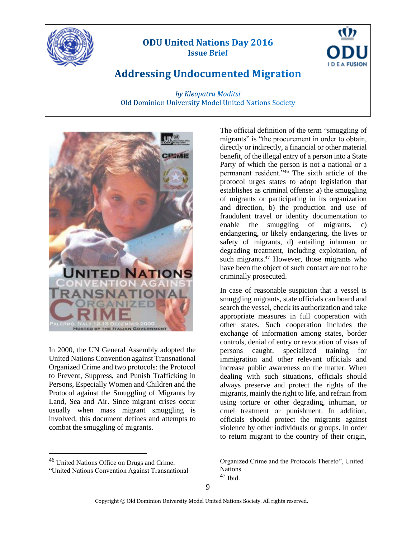



# **Addressing Undocumented Migration**

by Kleopatra Moditsi Old Dominion University Model United Nations Society



In 2000, the UN General Assembly adopted the United Nations Convention against Transnational Organized Crime and two protocols: the Protocol to Prevent, Suppress, and Punish Trafficking in Persons, Especially Women and Children and the Protocol against the Smuggling of Migrants by Land, Sea and Air. Since migrant crises occur usually when mass migrant smuggling is involved, this document defines and attempts to combat the smuggling of migrants.

The official definition of the term "smuggling of migrants" is "the procurement in order to obtain, directly or indirectly, a financial or other material benefit, of the illegal entry of a person into a State Party of which the person is not a national or a permanent resident."<sup>46</sup> The sixth article of the protocol urges states to adopt legislation that establishes as criminal offense: a) the smuggling of migrants or participating in its organization and direction, b) the production and use of fraudulent travel or identity documentation to enable the smuggling of migrants, c) endangering, or likely endangering, the lives or safety of migrants, d) entailing inhuman or degrading treatment, including exploitation, of such migrants.<sup>47</sup> However, those migrants who have been the object of such contact are not to be criminally prosecuted.

In case of reasonable suspicion that a vessel is smuggling migrants, state officials can board and search the vessel, check its authorization and take appropriate measures in full cooperation with other states. Such cooperation includes the exchange of information among states, border controls, denial of entry or revocation of visas of persons caught, specialized training for immigration and other relevant officials and increase public awareness on the matter. When dealing with such situations, officials should always preserve and protect the rights of the migrants, mainly the right to life, and refrain from using torture or other degrading, inhuman, or cruel treatment or punishment. In addition, officials should protect the migrants against violence by other individuals or groups. In order to return migrant to the country of their origin,

<sup>46</sup> United Nations Office on Drugs and Crime.

<sup>&</sup>quot;United Nations Convention Against Transnational

Organized Crime and the Protocols Thereto", United **Nations** <sup>47</sup> Ibid.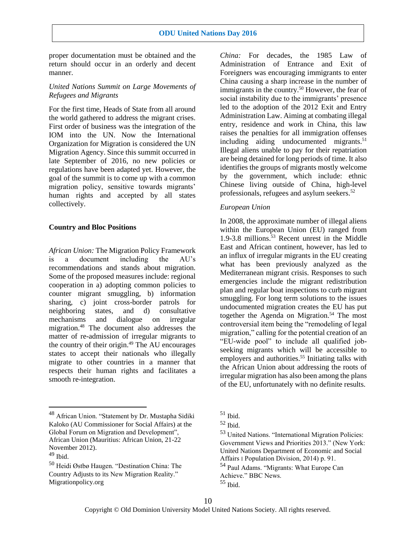proper documentation must be obtained and the return should occur in an orderly and decent manner.

### *United Nations Summit on Large Movements of Refugees and Migrants*

For the first time, Heads of State from all around the world gathered to address the migrant crises. First order of business was the integration of the IOM into the UN. Now the International Organization for Migration is considered the UN Migration Agency. Since this summit occurred in late September of 2016, no new policies or regulations have been adapted yet. However, the goal of the summit is to come up with a common migration policy, sensitive towards migrants' human rights and accepted by all states collectively.

#### **Country and Bloc Positions**

*African Union:* The Migration Policy Framework is a document including the AU's recommendations and stands about migration. Some of the proposed measures include: regional cooperation in a) adopting common policies to counter migrant smuggling, b) information sharing, c) joint cross-border patrols for neighboring states, and d) consultative mechanisms and dialogue on irregular migration.<sup>48</sup> The document also addresses the matter of re-admission of irregular migrants to the country of their origin.<sup>49</sup> The AU encourages states to accept their nationals who illegally migrate to other countries in a manner that respects their human rights and facilitates a smooth re-integration.

<sup>48</sup> African Union. "Statement by Dr. Mustapha Sidiki Kaloko (AU Commissioner for Social Affairs) at the Global Forum on Migration and Development", African Union (Mauritius: African Union, 21-22 November 2012).

 $\overline{a}$ 

<sup>50</sup> Heidi Østbø Haugen. "Destination China: The Country Adjusts to its New Migration Reality." Migrationpolicy.org

*China:* For decades, the 1985 Law of Administration of Entrance and Exit of Foreigners was encouraging immigrants to enter China causing a sharp increase in the number of immigrants in the country.<sup>50</sup> However, the fear of social instability due to the immigrants' presence led to the adoption of the 2012 Exit and Entry Administration Law. Aiming at combating illegal entry, residence and work in China, this law raises the penalties for all immigration offenses including aiding undocumented migrants.<sup>51</sup> Illegal aliens unable to pay for their repatriation are being detained for long periods of time. It also identifies the groups of migrants mostly welcome by the government, which include: ethnic Chinese living outside of China, high-level professionals, refugees and asylum seekers.<sup>52</sup>

#### *European Union*

In 2008, the approximate number of illegal aliens within the European Union (EU) ranged from 1.9-3.8 millions.<sup>53</sup> Recent unrest in the Middle East and African continent, however, has led to an influx of irregular migrants in the EU creating what has been previously analyzed as the Mediterranean migrant crisis. Responses to such emergencies include the migrant redistribution plan and regular boat inspections to curb migrant smuggling. For long term solutions to the issues undocumented migration creates the EU has put together the Agenda on Migration.<sup>54</sup> The most controversial item being the "remodeling of legal migration," calling for the potential creation of an "EU-wide pool" to include all qualified jobseeking migrants which will be accessible to employers and authorities.<sup>55</sup> Initiating talks with the African Union about addressing the roots of irregular migration has also been among the plans of the EU, unfortunately with no definite results.

<sup>49</sup> Ibid.

 $51$  Ibid.

 $52$  Ibid.

<sup>53</sup> United Nations. "International Migration Policies: Government Views and Priorities 2013." (New York: United Nations Department of Economic and Social Affairs ׀ Population Division, 2014) p. 91. <sup>54</sup> Paul Adams. "Migrants: What Europe Can

Achieve." BBC News.

 $55$  Ibid.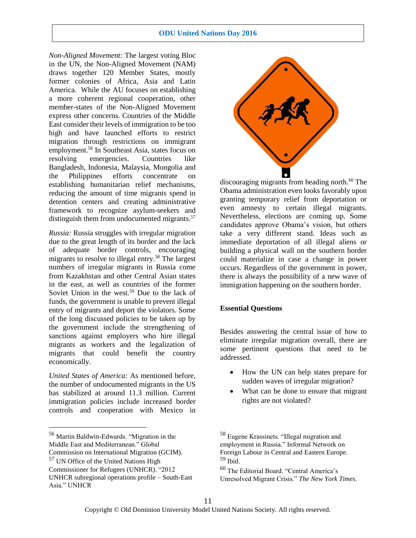*Non-Aligned Movement:* The largest voting Bloc in the UN, the Non-Aligned Movement (NAM) draws together 120 Member States, mostly former colonies of Africa, Asia and Latin America.While the AU focuses on establishing a more coherent regional cooperation, other member-states of the Non-Aligned Movement express other concerns. Countries of the Middle East consider their levels of immigration to be too high and have launched efforts to restrict migration through restrictions on immigrant employment.<sup>56</sup> In Southeast Asia, states focus on resolving emergencies. Countries like Bangladesh, Indonesia, Malaysia, Mongolia and the Philippines efforts concentrate on establishing humanitarian relief mechanisms, reducing the amount of time migrants spend in detention centers and creating administrative framework to recognize asylum-seekers and distinguish them from undocumented migrants. $57$ 

*Russia:* Russia struggles with irregular migration due to the great length of its border and the lack of adequate border controls, encouraging migrants to resolve to illegal entry.<sup>58</sup> The largest numbers of irregular migrants in Russia come from Kazakhstan and other Central Asian states in the east, as well as countries of the former Soviet Union in the west.<sup>59</sup> Due to the lack of funds, the government is unable to prevent illegal entry of migrants and deport the violators. Some of the long discussed policies to be taken up by the government include the strengthening of sanctions against employers who hire illegal migrants as workers and the legalization of migrants that could benefit the country economically.

*United States of America:* As mentioned before, the number of undocumented migrants in the US has stabilized at around 11.3 million. Current immigration policies include increased border controls and cooperation with Mexico in

 $\overline{a}$ 



discouraging migrants from heading north. $^{60}$  The Obama administration even looks favorably upon granting temporary relief from deportation or even amnesty to certain illegal migrants. Nevertheless, elections are coming up. Some candidates approve Obama's vision, but others take a very different stand. Ideas such as immediate deportation of all illegal aliens or building a physical wall on the southern border could materialize in case a change in power occurs. Regardless of the government in power, there is always the possibility of a new wave of immigration happening on the southern border.

## **Essential Questions**

Besides answering the central issue of how to eliminate irregular migration overall, there are some pertinent questions that need to be addressed.

- How the UN can help states prepare for sudden waves of irregular migration?
- What can be done to ensure that migrant rights are not violated?

<sup>56</sup> Martin Baldwin-Edwards. "Migration in the

Middle East and Mediterranean." Global

Commission on International Migration (GCIM).

<sup>57</sup> UN Office of the United Nations High

Commissioner for Refugees (UNHCR). "2012 UNHCR subregional operations profile – South-East Asia." UNHCR

<sup>58</sup> Eugene Krassinets. "Illegal migration and employment in Russia." Informal Network on Foreign Labour in Central and Eastern Europe.  $59$  Ibid.

<sup>60</sup> The Editorial Board. "Central America's Unresolved Migrant Crisis." *The New York Times*.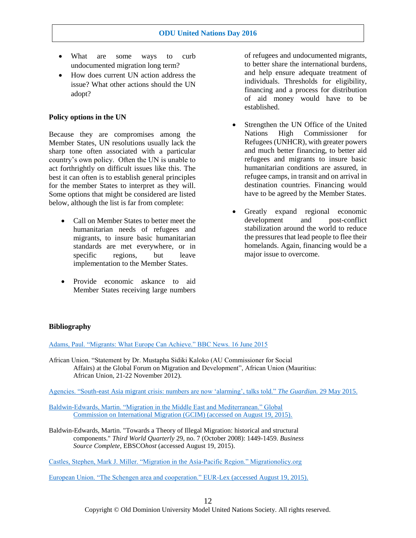- What are some ways to curb undocumented migration long term?
- How does current UN action address the issue? What other actions should the UN adopt?

### **Policy options in the UN**

Because they are compromises among the Member States, UN resolutions usually lack the sharp tone often associated with a particular country's own policy. Often the UN is unable to act forthrightly on difficult issues like this. The best it can often is to establish general principles for the member States to interpret as they will. Some options that might be considered are listed below, although the list is far from complete:

- Call on Member States to better meet the humanitarian needs of refugees and migrants, to insure basic humanitarian standards are met everywhere, or in specific regions, but leave implementation to the Member States.
- Provide economic askance to aid Member States receiving large numbers

of refugees and undocumented migrants, to better share the international burdens, and help ensure adequate treatment of individuals. Thresholds for eligibility, financing and a process for distribution of aid money would have to be established.

- Strengthen the UN Office of the United Nations High Commissioner for Refugees (UNHCR), with greater powers and much better financing, to better aid refugees and migrants to insure basic humanitarian conditions are assured, in refugee camps, in transit and on arrival in destination countries. Financing would have to be agreed by the Member States.
- Greatly expand regional economic development and post-conflict stabilization around the world to reduce the pressures that lead people to flee their homelands. Again, financing would be a major issue to overcome.

## **Bibliography**

[Adams, Paul. "Migrants: What Europe Can Achieve." BBC News. 16 June 2015](http://www.bbc.com/news/world-europe-33103246)

African Union. "Statement by Dr. Mustapha Sidiki Kaloko (AU Commissioner for Social Affairs) at the Global Forum on Migration and Development", African Union (Mauritius: African Union, 21-22 November 2012).

[Agencies. "South-east Asia migrant crisis: numbers are now 'alarming', talks told."](http://www.theguardian.com/world/2015/may/29/south-east-asia-migrant-crisis-numbers-are-now-alarming-talks-told) *[The](http://www.theguardian.com/world/2015/may/29/south-east-asia-migrant-crisis-numbers-are-now-alarming-talks-told) [Guardian.](http://www.theguardian.com/world/2015/may/29/south-east-asia-migrant-crisis-numbers-are-now-alarming-talks-told)* [29 May 2015.](http://www.theguardian.com/world/2015/may/29/south-east-asia-migrant-crisis-numbers-are-now-alarming-talks-told)

[Baldwin-Edwards, Martin. "Migration in the Middle East and Mediterranean." Global](http://iom.ch/jahia/webdav/site/myjahiasite/shared/shared/mainsite/policy_and_research/gcim/rs/RS5.pdf) [Commission on International Migration \(GCIM\) \(accessed on August 19, 2015\).](http://iom.ch/jahia/webdav/site/myjahiasite/shared/shared/mainsite/policy_and_research/gcim/rs/RS5.pdf)

Baldwin-Edwards, Martin. "Towards a Theory of Illegal Migration: historical and structural components." *Third World Quarterly* 29, no. 7 (October 2008): 1449-1459. *Business Source Complete*, EBSCO*host* (accessed August 19, 2015).

[Castles, Stephen, Mark J. Miller. "Migration in the Asia-Pacific Region." Migrationolicy.org](http://www.migrationpolicy.org/article/migration-asia-pacific-region)

[European Union. "The Schengen area and cooperation." EUR-Lex \(accessed August 19, 2015\).](http://eur-lex.europa.eu/legal-content/EN/TXT/?uri=uriserv:l33020)